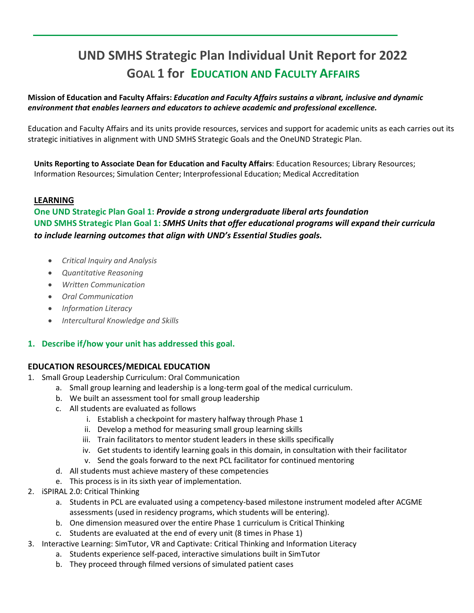# **UND SMHS Strategic Plan Individual Unit Report for 2022 GOAL 1 for EDUCATION AND FACULTY AFFAIRS**

# **Mission of Education and Faculty Affairs:** *Education and Faculty Affairs sustains a vibrant, inclusive and dynamic environment that enables learners and educators to achieve academic and professional excellence.*

Education and Faculty Affairs and its units provide resources, services and support for academic units as each carries out its strategic initiatives in alignment with UND SMHS Strategic Goals and the OneUND Strategic Plan.

**Units Reporting to Associate Dean for Education and Faculty Affairs**: Education Resources; Library Resources; Information Resources; Simulation Center; Interprofessional Education; Medical Accreditation

#### **LEARNING**

**One UND Strategic Plan Goal 1:** *Provide a strong undergraduate liberal arts foundation* **UND SMHS Strategic Plan Goal 1:** *SMHS Units that offer educational programs will expand their curricula to include learning outcomes that align with UND's Essential Studies goals.* 

- *Critical Inquiry and Analysis*
- *Quantitative Reasoning*
- *Written Communication*
- *Oral Communication*
- *Information Literacy*
- *Intercultural Knowledge and Skills*

# **1. Describe if/how your unit has addressed this goal.**

#### **EDUCATION RESOURCES/MEDICAL EDUCATION**

- 1. Small Group Leadership Curriculum: Oral Communication
	- a. Small group learning and leadership is a long-term goal of the medical curriculum.
	- b. We built an assessment tool for small group leadership
	- c. All students are evaluated as follows
		- i. Establish a checkpoint for mastery halfway through Phase 1
		- ii. Develop a method for measuring small group learning skills
		- iii. Train facilitators to mentor student leaders in these skills specifically
		- iv. Get students to identify learning goals in this domain, in consultation with their facilitator
		- v. Send the goals forward to the next PCL facilitator for continued mentoring
	- d. All students must achieve mastery of these competencies
	- e. This process is in its sixth year of implementation.
- 2. iSPIRAL 2.0: Critical Thinking
	- a. Students in PCL are evaluated using a competency-based milestone instrument modeled after ACGME assessments (used in residency programs, which students will be entering).
	- b. One dimension measured over the entire Phase 1 curriculum is Critical Thinking
	- c. Students are evaluated at the end of every unit (8 times in Phase 1)
- 3. Interactive Learning: SimTutor, VR and Captivate: Critical Thinking and Information Literacy
	- a. Students experience self-paced, interactive simulations built in SimTutor
	- b. They proceed through filmed versions of simulated patient cases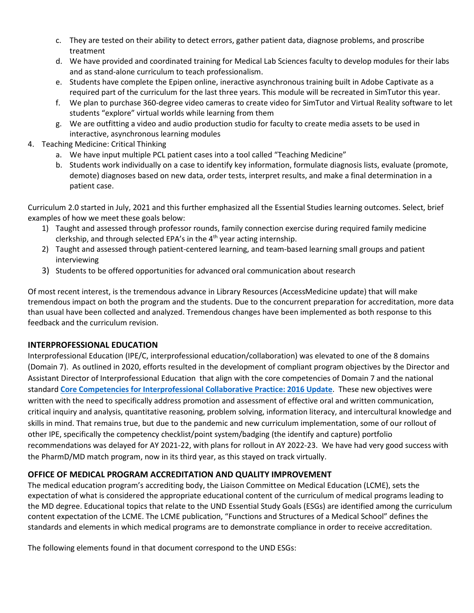- c. They are tested on their ability to detect errors, gather patient data, diagnose problems, and proscribe treatment
- d. We have provided and coordinated training for Medical Lab Sciences faculty to develop modules for their labs and as stand-alone curriculum to teach professionalism.
- e. Students have complete the Epipen online, ineractive asynchronous training built in Adobe Captivate as a required part of the curriculum for the last three years. This module will be recreated in SimTutor this year.
- f. We plan to purchase 360-degree video cameras to create video for SimTutor and Virtual Reality software to let students "explore" virtual worlds while learning from them
- g. We are outfitting a video and audio production studio for faculty to create media assets to be used in interactive, asynchronous learning modules
- 4. Teaching Medicine: Critical Thinking
	- a. We have input multiple PCL patient cases into a tool called "Teaching Medicine"
	- b. Students work individually on a case to identify key information, formulate diagnosis lists, evaluate (promote, demote) diagnoses based on new data, order tests, interpret results, and make a final determination in a patient case.

Curriculum 2.0 started in July, 2021 and this further emphasized all the Essential Studies learning outcomes. Select, brief examples of how we meet these goals below:

- 1) Taught and assessed through professor rounds, family connection exercise during required family medicine clerkship, and through selected EPA's in the 4th year acting internship.
- 2) Taught and assessed through patient-centered learning, and team-based learning small groups and patient interviewing
- 3) Students to be offered opportunities for advanced oral communication about research

Of most recent interest, is the tremendous advance in Library Resources (AccessMedicine update) that will make tremendous impact on both the program and the students. Due to the concurrent preparation for accreditation, more data than usual have been collected and analyzed. Tremendous changes have been implemented as both response to this feedback and the curriculum revision.

# **INTERPROFESSIONAL EDUCATION**

Interprofessional Education (IPE/C, interprofessional education/collaboration) was elevated to one of the 8 domains (Domain 7). As outlined in 2020, efforts resulted in the development of compliant program objectives by the Director and Assistant Director of Interprofessional Education that align with the core competencies of Domain 7 and the national standard **[Core Competencies for Interprofessional Collaborative Practice:](https://nebula.wsimg.com/2f68a39520b03336b41038c370497473?AccessKeyId=DC06780E69ED19E2B3A5&disposition=0&alloworigin=1) 2016 Update**. These new objectives were written with the need to specifically address promotion and assessment of effective oral and written communication, critical inquiry and analysis, quantitative reasoning, problem solving, information literacy, and intercultural knowledge and skills in mind. That remains true, but due to the pandemic and new curriculum implementation, some of our rollout of other IPE, specifically the competency checklist/point system/badging (the identify and capture) portfolio recommendations was delayed for AY 2021-22, with plans for rollout in AY 2022-23. We have had very good success with the PharmD/MD match program, now in its third year, as this stayed on track virtually.

# **OFFICE OF MEDICAL PROGRAM ACCREDITATION AND QUALITY IMPROVEMENT**

The medical education program's accrediting body, the Liaison Committee on Medical Education (LCME), sets the expectation of what is considered the appropriate educational content of the curriculum of medical programs leading to the MD degree. Educational topics that relate to the UND Essential Study Goals (ESGs) are identified among the curriculum content expectation of the LCME. The LCME publication, "Functions and Structures of a Medical School" defines the standards and elements in which medical programs are to demonstrate compliance in order to receive accreditation.

The following elements found in that document correspond to the UND ESGs: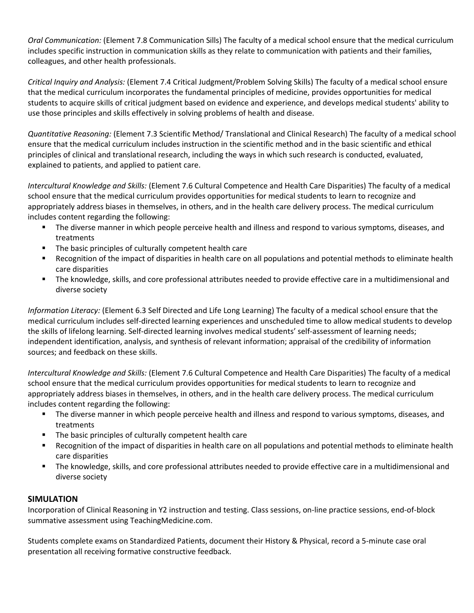*Oral Communication:* (Element 7.8 Communication Sills) The faculty of a medical school ensure that the medical curriculum includes specific instruction in communication skills as they relate to communication with patients and their families, colleagues, and other health professionals.

*Critical Inquiry and Analysis:* (Element 7.4 Critical Judgment/Problem Solving Skills) The faculty of a medical school ensure that the medical curriculum incorporates the fundamental principles of medicine, provides opportunities for medical students to acquire skills of critical judgment based on evidence and experience, and develops medical students' ability to use those principles and skills effectively in solving problems of health and disease.

*Quantitative Reasoning:* (Element 7.3 Scientific Method/ Translational and Clinical Research) The faculty of a medical school ensure that the medical curriculum includes instruction in the scientific method and in the basic scientific and ethical principles of clinical and translational research, including the ways in which such research is conducted, evaluated, explained to patients, and applied to patient care.

*Intercultural Knowledge and Skills:* (Element 7.6 Cultural Competence and Health Care Disparities) The faculty of a medical school ensure that the medical curriculum provides opportunities for medical students to learn to recognize and appropriately address biases in themselves, in others, and in the health care delivery process. The medical curriculum includes content regarding the following:

- The diverse manner in which people perceive health and illness and respond to various symptoms, diseases, and treatments
- The basic principles of culturally competent health care
- Recognition of the impact of disparities in health care on all populations and potential methods to eliminate health care disparities
- The knowledge, skills, and core professional attributes needed to provide effective care in a multidimensional and diverse society

*Information Literacy:* (Element 6.3 Self Directed and Life Long Learning) The faculty of a medical school ensure that the medical curriculum includes self-directed learning experiences and unscheduled time to allow medical students to develop the skills of lifelong learning. Self-directed learning involves medical students' self-assessment of learning needs; independent identification, analysis, and synthesis of relevant information; appraisal of the credibility of information sources; and feedback on these skills.

*Intercultural Knowledge and Skills:* (Element 7.6 Cultural Competence and Health Care Disparities) The faculty of a medical school ensure that the medical curriculum provides opportunities for medical students to learn to recognize and appropriately address biases in themselves, in others, and in the health care delivery process. The medical curriculum includes content regarding the following:

- The diverse manner in which people perceive health and illness and respond to various symptoms, diseases, and treatments
- The basic principles of culturally competent health care
- Recognition of the impact of disparities in health care on all populations and potential methods to eliminate health care disparities
- The knowledge, skills, and core professional attributes needed to provide effective care in a multidimensional and diverse society

# **SIMULATION**

Incorporation of Clinical Reasoning in Y2 instruction and testing. Class sessions, on-line practice sessions, end-of-block summative assessment using TeachingMedicine.com.

Students complete exams on Standardized Patients, document their History & Physical, record a 5-minute case oral presentation all receiving formative constructive feedback.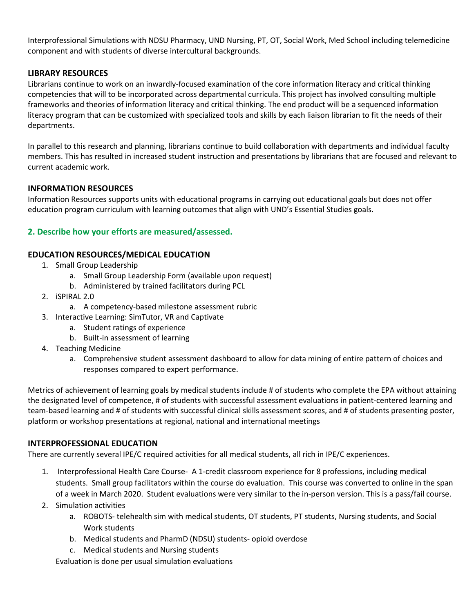Interprofessional Simulations with NDSU Pharmacy, UND Nursing, PT, OT, Social Work, Med School including telemedicine component and with students of diverse intercultural backgrounds.

# **LIBRARY RESOURCES**

Librarians continue to work on an inwardly-focused examination of the core information literacy and critical thinking competencies that will to be incorporated across departmental curricula. This project has involved consulting multiple frameworks and theories of information literacy and critical thinking. The end product will be a sequenced information literacy program that can be customized with specialized tools and skills by each liaison librarian to fit the needs of their departments.

In parallel to this research and planning, librarians continue to build collaboration with departments and individual faculty members. This has resulted in increased student instruction and presentations by librarians that are focused and relevant to current academic work.

# **INFORMATION RESOURCES**

Information Resources supports units with educational programs in carrying out educational goals but does not offer education program curriculum with learning outcomes that align with UND's Essential Studies goals.

# **2. Describe how your efforts are measured/assessed.**

# **EDUCATION RESOURCES/MEDICAL EDUCATION**

- 1. Small Group Leadership
	- a. Small Group Leadership Form (available upon request)
	- b. Administered by trained facilitators during PCL
- 2. iSPIRAL 2.0
	- a. A competency-based milestone assessment rubric
- 3. Interactive Learning: SimTutor, VR and Captivate
	- a. Student ratings of experience
	- b. Built-in assessment of learning
- 4. Teaching Medicine
	- a. Comprehensive student assessment dashboard to allow for data mining of entire pattern of choices and responses compared to expert performance.

Metrics of achievement of learning goals by medical students include # of students who complete the EPA without attaining the designated level of competence, # of students with successful assessment evaluations in patient-centered learning and team-based learning and # of students with successful clinical skills assessment scores, and # of students presenting poster, platform or workshop presentations at regional, national and international meetings

# **INTERPROFESSIONAL EDUCATION**

There are currently several IPE/C required activities for all medical students, all rich in IPE/C experiences.

- 1. Interprofessional Health Care Course- A 1-credit classroom experience for 8 professions, including medical students. Small group facilitators within the course do evaluation. This course was converted to online in the span of a week in March 2020. Student evaluations were very similar to the in-person version. This is a pass/fail course.
- 2. Simulation activities
	- a. ROBOTS- telehealth sim with medical students, OT students, PT students, Nursing students, and Social Work students
	- b. Medical students and PharmD (NDSU) students- opioid overdose
	- c. Medical students and Nursing students

Evaluation is done per usual simulation evaluations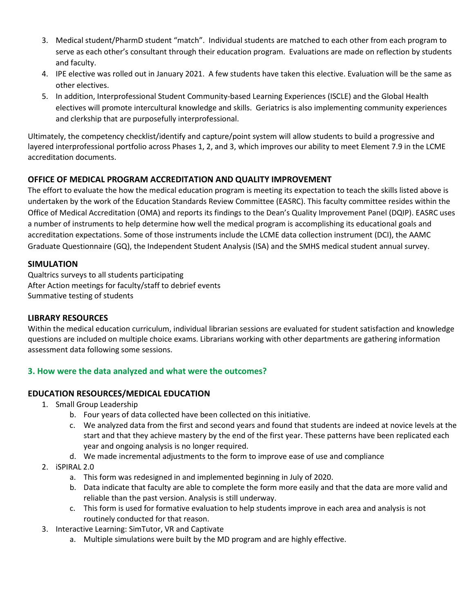- 3. Medical student/PharmD student "match". Individual students are matched to each other from each program to serve as each other's consultant through their education program. Evaluations are made on reflection by students and faculty.
- 4. IPE elective was rolled out in January 2021. A few students have taken this elective. Evaluation will be the same as other electives.
- 5. In addition, Interprofessional Student Community-based Learning Experiences (ISCLE) and the Global Health electives will promote intercultural knowledge and skills. Geriatrics is also implementing community experiences and clerkship that are purposefully interprofessional.

Ultimately, the competency checklist/identify and capture/point system will allow students to build a progressive and layered interprofessional portfolio across Phases 1, 2, and 3, which improves our ability to meet Element 7.9 in the LCME accreditation documents.

# **OFFICE OF MEDICAL PROGRAM ACCREDITATION AND QUALITY IMPROVEMENT**

The effort to evaluate the how the medical education program is meeting its expectation to teach the skills listed above is undertaken by the work of the Education Standards Review Committee (EASRC). This faculty committee resides within the Office of Medical Accreditation (OMA) and reports its findings to the Dean's Quality Improvement Panel (DQIP). EASRC uses a number of instruments to help determine how well the medical program is accomplishing its educational goals and accreditation expectations. Some of those instruments include the LCME data collection instrument (DCI), the AAMC Graduate Questionnaire (GQ), the Independent Student Analysis (ISA) and the SMHS medical student annual survey.

# **SIMULATION**

Qualtrics surveys to all students participating After Action meetings for faculty/staff to debrief events Summative testing of students

#### **LIBRARY RESOURCES**

Within the medical education curriculum, individual librarian sessions are evaluated for student satisfaction and knowledge questions are included on multiple choice exams. Librarians working with other departments are gathering information assessment data following some sessions.

# **3. How were the data analyzed and what were the outcomes?**

# **EDUCATION RESOURCES/MEDICAL EDUCATION**

- 1. Small Group Leadership
	- b. Four years of data collected have been collected on this initiative.
	- c. We analyzed data from the first and second years and found that students are indeed at novice levels at the start and that they achieve mastery by the end of the first year. These patterns have been replicated each year and ongoing analysis is no longer required.
	- d. We made incremental adjustments to the form to improve ease of use and compliance
- 2. iSPIRAL 2.0
	- a. This form was redesigned in and implemented beginning in July of 2020.
	- b. Data indicate that faculty are able to complete the form more easily and that the data are more valid and reliable than the past version. Analysis is still underway.
	- c. This form is used for formative evaluation to help students improve in each area and analysis is not routinely conducted for that reason.
- 3. Interactive Learning: SimTutor, VR and Captivate
	- a. Multiple simulations were built by the MD program and are highly effective.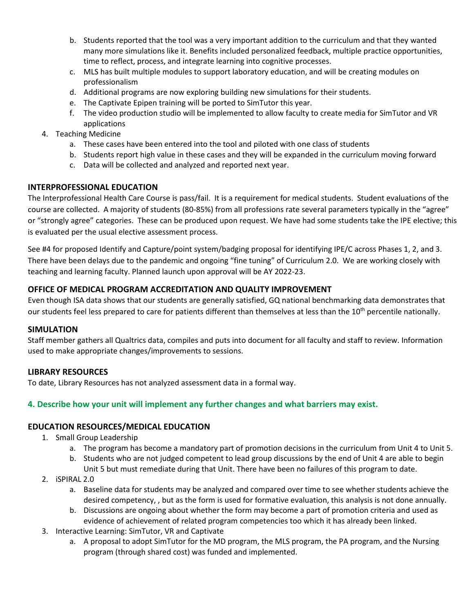- b. Students reported that the tool was a very important addition to the curriculum and that they wanted many more simulations like it. Benefits included personalized feedback, multiple practice opportunities, time to reflect, process, and integrate learning into cognitive processes.
- c. MLS has built multiple modules to support laboratory education, and will be creating modules on professionalism
- d. Additional programs are now exploring building new simulations for their students.
- e. The Captivate Epipen training will be ported to SimTutor this year.
- f. The video production studio will be implemented to allow faculty to create media for SimTutor and VR applications
- 4. Teaching Medicine
	- a. These cases have been entered into the tool and piloted with one class of students
	- b. Students report high value in these cases and they will be expanded in the curriculum moving forward
	- c. Data will be collected and analyzed and reported next year.

# **INTERPROFESSIONAL EDUCATION**

The Interprofessional Health Care Course is pass/fail. It is a requirement for medical students. Student evaluations of the course are collected. A majority of students (80-85%) from all professions rate several parameters typically in the "agree" or "strongly agree" categories. These can be produced upon request. We have had some students take the IPE elective; this is evaluated per the usual elective assessment process.

See #4 for proposed Identify and Capture/point system/badging proposal for identifying IPE/C across Phases 1, 2, and 3. There have been delays due to the pandemic and ongoing "fine tuning" of Curriculum 2.0. We are working closely with teaching and learning faculty. Planned launch upon approval will be AY 2022-23.

# **OFFICE OF MEDICAL PROGRAM ACCREDITATION AND QUALITY IMPROVEMENT**

Even though ISA data shows that our students are generally satisfied, GQ national benchmarking data demonstrates that our students feel less prepared to care for patients different than themselves at less than the 10<sup>th</sup> percentile nationally.

# **SIMULATION**

Staff member gathers all Qualtrics data, compiles and puts into document for all faculty and staff to review. Information used to make appropriate changes/improvements to sessions.

# **LIBRARY RESOURCES**

To date, Library Resources has not analyzed assessment data in a formal way.

# **4. Describe how your unit will implement any further changes and what barriers may exist.**

# **EDUCATION RESOURCES/MEDICAL EDUCATION**

- 1. Small Group Leadership
	- a. The program has become a mandatory part of promotion decisions in the curriculum from Unit 4 to Unit 5.
	- b. Students who are not judged competent to lead group discussions by the end of Unit 4 are able to begin Unit 5 but must remediate during that Unit. There have been no failures of this program to date.
- 2. iSPIRAL 2.0
	- a. Baseline data for students may be analyzed and compared over time to see whether students achieve the desired competency, , but as the form is used for formative evaluation, this analysis is not done annually.
	- b. Discussions are ongoing about whether the form may become a part of promotion criteria and used as evidence of achievement of related program competencies too which it has already been linked.
- 3. Interactive Learning: SimTutor, VR and Captivate
	- a. A proposal to adopt SimTutor for the MD program, the MLS program, the PA program, and the Nursing program (through shared cost) was funded and implemented.